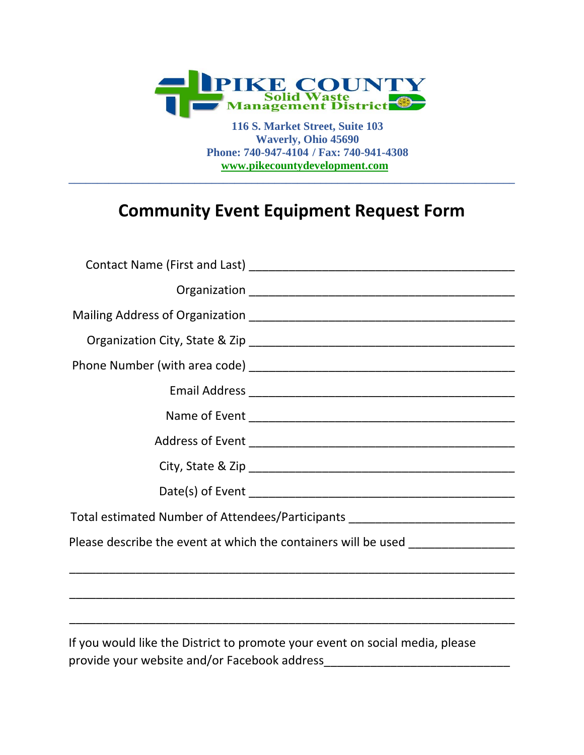

 **116 S. Market Street, Suite 103 Waverly, Ohio 45690 Phone: 740-947-4104 / Fax: 740-941-4308 www.pikecountydevelopment.com** 

## **Community Event Equipment Request Form**

**\_\_\_\_\_\_\_\_\_\_\_\_\_\_\_\_\_\_\_\_\_\_\_\_\_\_\_\_\_\_\_\_\_\_\_\_\_\_\_\_\_\_\_\_\_\_\_\_\_\_\_\_\_\_\_\_\_\_\_\_\_\_\_\_\_\_\_\_\_\_\_\_\_\_\_\_\_\_** 

| Total estimated Number of Attendees/Participants _______________________________ |  |
|----------------------------------------------------------------------------------|--|
| Please describe the event at which the containers will be used _________________ |  |
|                                                                                  |  |
|                                                                                  |  |
|                                                                                  |  |
| If you would like the District to promote your event on social media, please     |  |

provide your website and/or Facebook address\_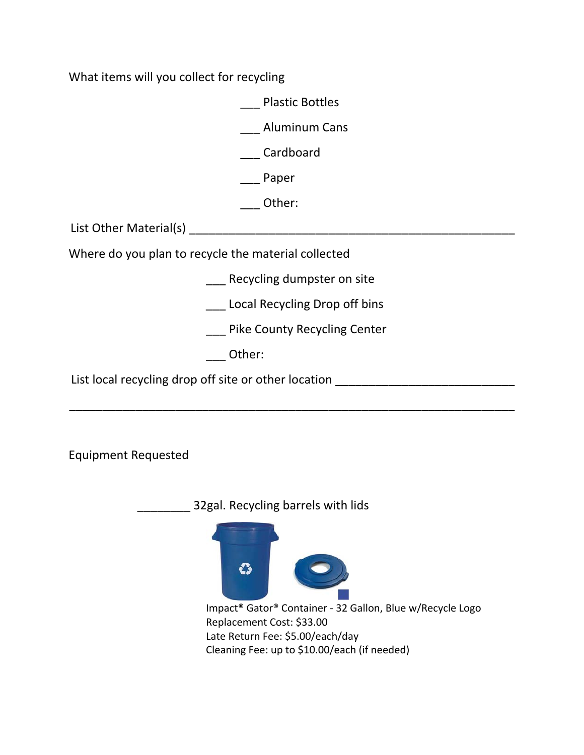What items will you collect for recycling

\_\_\_ Plastic Bottles

\_\_\_ Aluminum Cans

\_\_\_ Cardboard

\_\_\_ Paper

\_\_\_ Other:

List Other Material(s) example and the state of the state of the state of the state of the state of the state o

Where do you plan to recycle the material collected

Recycling dumpster on site

\_\_\_ Local Recycling Drop off bins

\_\_\_ Pike County Recycling Center

\_\_\_\_\_\_\_\_\_\_\_\_\_\_\_\_\_\_\_\_\_\_\_\_\_\_\_\_\_\_\_\_\_\_\_\_\_\_\_\_\_\_\_\_\_\_\_\_\_\_\_\_\_\_\_\_\_\_\_\_\_\_\_\_\_\_\_

\_\_\_ Other:

List local recycling drop off site or other location \_\_\_\_\_\_\_\_\_\_\_\_\_\_\_\_\_\_\_\_\_\_\_\_\_\_\_

Equipment Requested